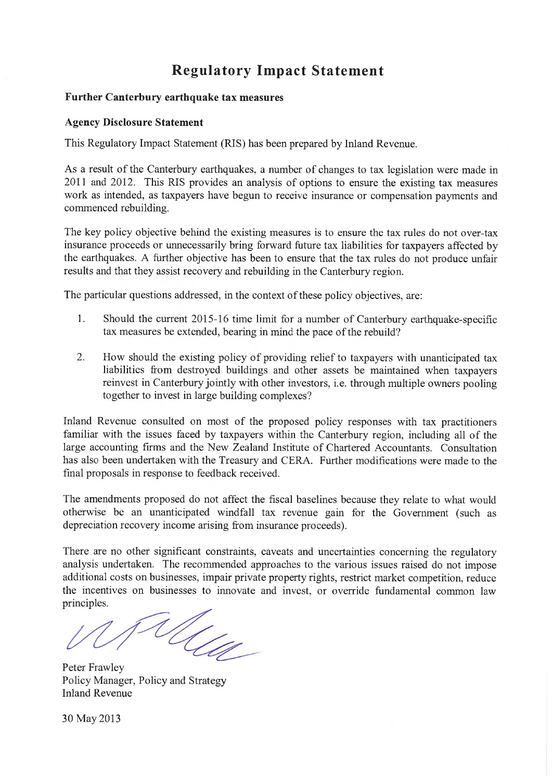# **Regulatory Impact Statement**

### **Further Canterbury earthquake tax measures**

#### **Agency Disclosure Statement**

This Regulatory Impact Statement (RIS) has been prepared by Inland Revenue.

As a result of the Canterbury earthquakes, a number of changes to tax legislation were made in 2011 and 2012. This RIS provides an analysis of options to ensure the existing tax measures work as intended, as taxpayers have begun to receive insurance or compensation payments and commenced rebuilding.

The key policy objective behind the existing measures is to ensure the tax rules do not over-tax insurance proceeds or unnecessarily bring forward future tax liabilities for taxpayers affected by the earthquakes. A further objective has been to ensure that the tax rules do not produce unfair results and that they assist recovery and rebuilding in the Canterbury region.

The particular questions addressed, in the context of these policy objectives, are:

- 1. Should the current 2015-16 time limit for a number of Canterbury earthquake-specific tax measures be extended, bearing in mind the pace of the rebuild?
- 2. How should the existing policy of providing relief to taxpayers with unanticipated tax liabilities from destroyed buildings and other assets be maintained when taxpayers reinvest in Canterbury jointly with other investors, i.e. through multiple owners pooling together to invest in large building complexes?

Inland Revenue consulted on most of the proposed policy responses with tax practitioners familiar with the issues faced by taxpayers within the Canterbury region, including all of the large accounting firms and the New Zealand Institute of Chartered Accountants. Consultation has also been undertaken with the Treasury and CERA. Further modifications were made to the final proposals in response to feedback received.

The amendments proposed do not affect the fiscal baselines because they relate to what would otherwise be an unanticipated windfall tax revenue gain for the Government (such as depreciation recovery income arising from insurance proceeds).

There are no other significant constraints, caveats and uncertainties concerning the regulatory analysis undertaken. The recommended approaches to the various issues raised do not impose additional costs on businesses, impair private property rights, restrict market competition, reduce the incentives on businesses to innovate and invest, or override fundamental common law principles.

Ulle

Peter Frawley Policy Manager, Policy and Strategy Inland Revenue

30 May 2013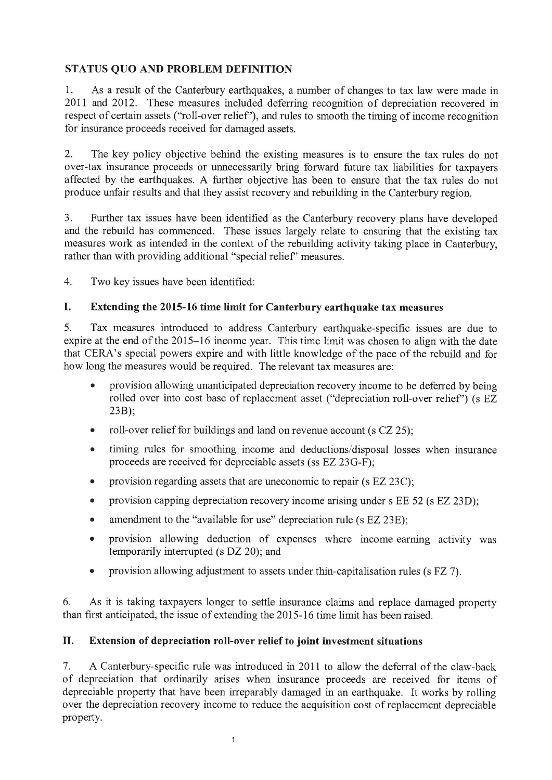### **STATUS QUO AND PROBLEM DEFINITION**

1. As a result of the Canterbury earthquakes, a number of changes to tax law were made in 2011 and 2012. These measures included deferring recognition of depreciation recovered in respect of certain assets ("roll-over relief'), and rules to smooth the timing of income recognition for insurance proceeds received for damaged assets.

2. The key policy objective behind the existing measures is to ensure the tax rules do not over-tax insurance proceeds or unnecessarily bring forward future tax liabilities for taxpayers affected by the earthquakes. A further objective has been to ensure that the tax rules do not produce unfair results and that they assist recovery and rebuilding in the Canterbury region.

3. Further tax issues have been identified as the Canterbury recovery plans have developed and the rebuild has commenced. These issues largely relate to ensuring that the existing tax measures work as intended in the context of the rebuilding activity taking place in Canterbury, rather than with providing additional "special relief' measures.

4. Two key issues have been identified:

### **I. Extending the 2015-16 time limit for Canterbury earthquake tax measures**

5. Tax measures introduced to address Canterbury earthquake-specific issues are due to expire at the end of the 2015-16 income year. This time limit was chosen to align with the date that CERA's special powers expire and with little knowledge of the pace of the rebuild and for how long the measures would be required. The relevant tax measures are:

- provision allowing unanticipated depreciation recovery income to be deferred by being rolled over into cost base of replacement asset ("depreciation roll-over relief') (s EZ 23B);
- roll-over relief for buildings and land on revenue account (s CZ 25);
- timing rules for smoothing income and deductions/disposal losses when insurance proceeds are received for depreciable assets (ss EZ 23G-F);
- provision regarding assets that are uneconomic to repair (s EZ 23C);
- provision capping depreciation recovery income arising under s EE 52 (s EZ 23D);
- amendment to the "available for use" depreciation rule (s EZ 23E);
- provision allowing deduction of expenses where income-earning activity was temporarily interrupted (s DZ 20); and
- provision allowing adjustment to assets under thin-capitalisation rules (s FZ 7).

6. As it is taking taxpayers longer to settle insurance claims and replace damaged property than first anticipated, the issue of extending the 2015-16 time limit has been raised.

### **II. Extension of depreciation roll-over relief to joint investment situations**

7. A Canterbury-specific rule was introduced in 2011 to allow the deferral of the claw-back of depreciation that ordinarily arises when insurance proceeds are received for items of depreciable property that have been irreparably damaged in an earthquake. It works by rolling over the depreciation recovery income to reduce the acquisition cost of replacement depreciable property.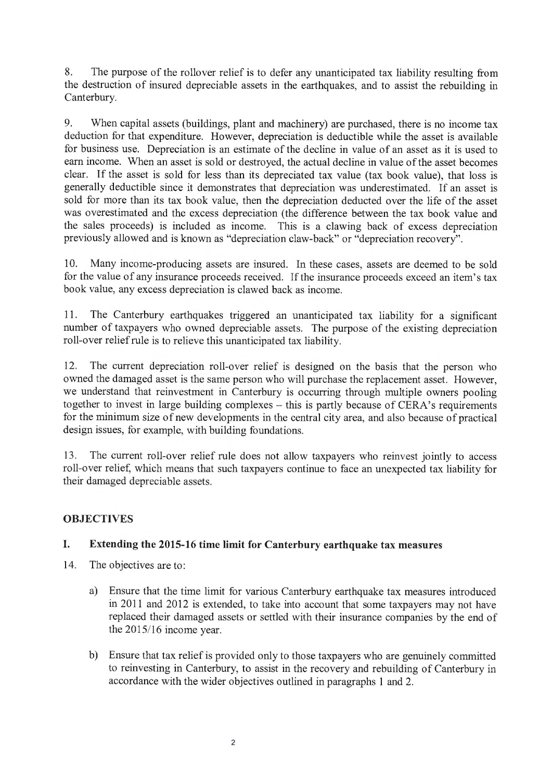8. The purpose of the rollover relief is to defer any unanticipated tax liability resulting from the destruction of insured depreciable assets in the earthquakes, and to assist the rebuilding in Canterbury.

9. When capital assets (buildings, plant and machinery) are purchased, there is no income tax deduction for that expenditure. However, depreciation is deductible while the asset is available for business use. Depreciation is an estimate of the decline in value of an asset as it is used to earn income. When an asset is sold or destroyed, the actual decline in value of the asset becomes clear. If the asset is sold for less than its depreciated tax value (tax book value), that loss is generally deductible since it demonstrates that depreciation was underestimated. If an asset is sold for more than its tax book value, then the depreciation deducted over the life of the asset was overestimated and the excess depreciation (the difference between the tax book value and the sales proceeds) is included as income. This is a clawing back of excess depreciation previously allowed and is known as "depreciation claw-back" or "depreciation recovery".

10. Many income-producing assets are insured. In these cases, assets are deemed to be sold for the value of any insurance proceeds received. If the insurance proceeds exceed an item's tax book value, any excess depreciation is clawed back as income.

11. The Canterbury earthquakes triggered an unanticipated tax liability for a significant number of taxpayers who owned depreciable assets. The purpose of the existing depreciation roll-over relief rule is to relieve this unanticipated tax liability.

12. The current depreciation roll-over relief is designed on the basis that the person who owned the damaged asset is the same person who will purchase the replacement asset. However, we understand that reinvestment in Canterbury is occurring through multiple owners pooling together to invest in large building complexes – this is partly because of CERA's requirements for the minimum size of new developments in the central city area, and also because of practical design issues, for example, with building foundations.

13. The current roll-over relief rule does not allow taxpayers who reinvest jointly to access roll-over relief, which means that such taxpayers continue to face an unexpected tax liability for their damaged depreciable assets.

### **OBJECTIVES**

### **I. Extending the 2015-16 time limit for Canterbury earthquake tax measures**

- 14. The objectives are to:
	- a) Ensure that the time limit for various Canterbury earthquake tax measures introduced in 2011 and 2012 is extended, to take into account that some taxpayers may not have replaced their damaged assets or settled with their insurance companies by the end of the 2015/16 income year.
	- b) Ensure that tax relief is provided only to those taxpayers who are genuinely committed to reinvesting in Canterbury, to assist in the recovery and rebuilding of Canterbury in accordance with the wider objectives outlined in paragraphs 1 and 2.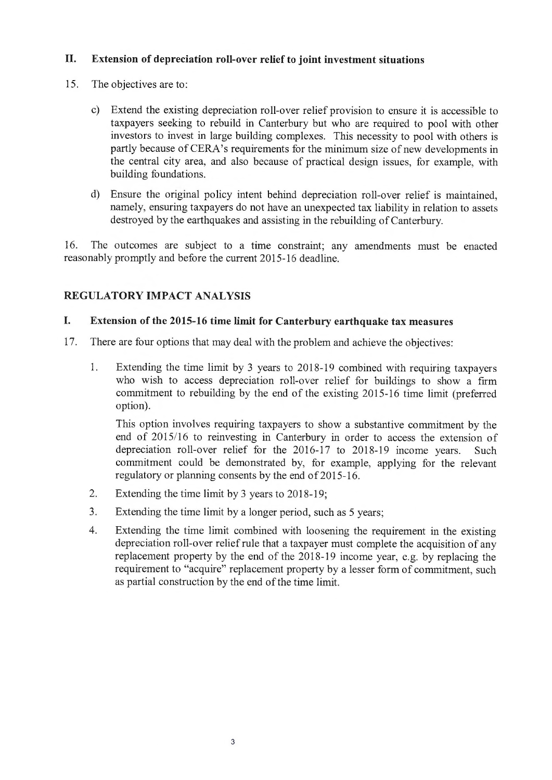### **II. Extension of depreciation roll-over relief to joint investment situations**

- 15. The objectives are to:
	- c) Extend the existing depreciation roll-over relief provision to ensure it is accessible to taxpayers seeking to rebuild in Canterbury but who are required to pool with other investors to invest in large building complexes. This necessity to pool with others is partly because of CERA's requirements for the minimum size of new developments in the central city area, and also because of practical design issues, for example, with building foundations.
	- d) Ensure the original policy intent behind depreciation roll-over relief is maintained, namely, ensuring taxpayers do not have an unexpected tax liability in relation to assets destroyed by the earthquakes and assisting in the rebuilding of Canterbury.

16. The outcomes are subject to a time constraint; any amendments must be enacted reasonably promptly and before the current 2015-16 deadline.

### **REGULATORY IMPACT ANALYSIS**

### **I. Extension of the 2015-16 time limit for Canterbury earthquake tax measures**

- 17. There are four options that may deal with the problem and achieve the objectives:
	- 1. Extending the time limit by 3 years to 2018-19 combined with requiring taxpayers who wish to access depreciation roll-over relief for buildings to show a firm commitment to rebuilding by the end of the existing 2015-16 time limit (preferred option).

This option involves requiring taxpayers to show a substantive commitment by the end of  $2015/16$  to reinvesting in Canterbury in order to access the extension of depreciation roll-over relief for the 2016-17 to 2018-19 income years. Such commitment could be demonstrated by, for example, applying for the relevant regulatory or planning consents by the end of 2015-16.

- 2. Extending the time limit by 3 years to 2018 -19;
- 3. Extending the time limit by a longer period, such as 5 years;
- 4. Extending the time limit combined with loosening the requirement in the existing depreciation roll-over relief rule that a taxpayer must complete the acquisition of any replacement property by the end of the 2018-19 income year, e.g. by replacing the requirement to "acquire" replacement property by a lesser form of commitment, such as partial construction by the end of the time limit.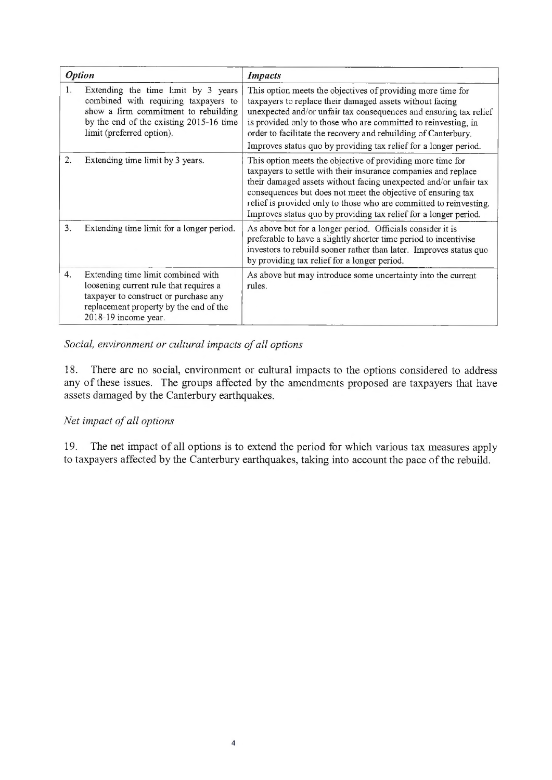| <b>Option</b>    |                                                                                                                                                                                             | <b>Impacts</b>                                                                                                                                                                                                                                                                                                                                                                                             |  |  |
|------------------|---------------------------------------------------------------------------------------------------------------------------------------------------------------------------------------------|------------------------------------------------------------------------------------------------------------------------------------------------------------------------------------------------------------------------------------------------------------------------------------------------------------------------------------------------------------------------------------------------------------|--|--|
| 1.               | Extending the time limit by 3 years<br>combined with requiring taxpayers to<br>show a firm commitment to rebuilding<br>by the end of the existing 2015-16 time<br>limit (preferred option). | This option meets the objectives of providing more time for<br>taxpayers to replace their damaged assets without facing<br>unexpected and/or unfair tax consequences and ensuring tax relief<br>is provided only to those who are committed to reinvesting, in<br>order to facilitate the recovery and rebuilding of Canterbury.<br>Improves status quo by providing tax relief for a longer period.       |  |  |
| 2.               | Extending time limit by 3 years.                                                                                                                                                            | This option meets the objective of providing more time for<br>taxpayers to settle with their insurance companies and replace<br>their damaged assets without facing unexpected and/or unfair tax<br>consequences but does not meet the objective of ensuring tax<br>relief is provided only to those who are committed to reinvesting.<br>Improves status quo by providing tax relief for a longer period. |  |  |
| 3 <sub>1</sub>   | Extending time limit for a longer period.                                                                                                                                                   | As above but for a longer period. Officials consider it is<br>preferable to have a slightly shorter time period to incentivise<br>investors to rebuild sooner rather than later. Improves status quo<br>by providing tax relief for a longer period.                                                                                                                                                       |  |  |
| $\overline{4}$ . | Extending time limit combined with<br>loosening current rule that requires a<br>taxpayer to construct or purchase any<br>replacement property by the end of the<br>2018-19 income year.     | As above but may introduce some uncertainty into the current<br>rules.                                                                                                                                                                                                                                                                                                                                     |  |  |

### *Social, environment or cultural impacts of all options*

18. There are no social, environment or cultural impacts to the options considered to address any of these issues. The groups affected by the amendments proposed are taxpayers that have assets damaged by the Canterbury earthquakes.

### *Net impact of all options*

19. The net impact of all options is to extend the period for which various tax measures apply to taxpayers affected by the Canterbury earthquakes, taking into account the pace of the rebuild.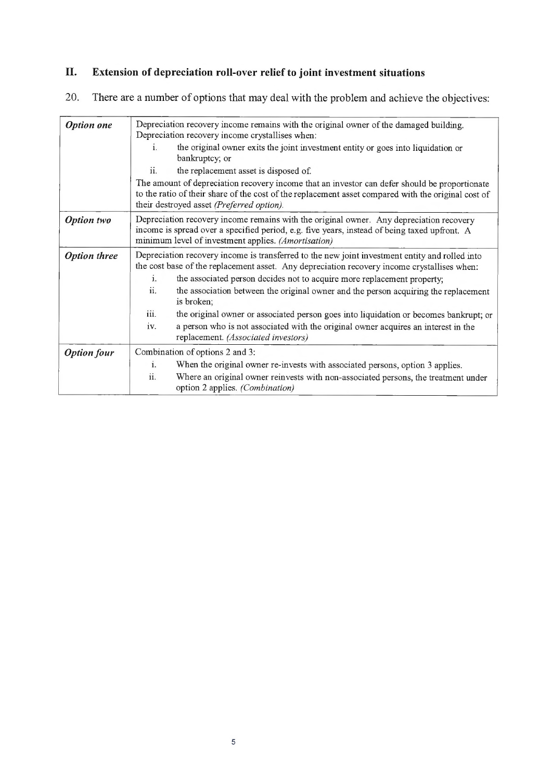# **II. Extension of depreciation roll-over relief to joint investment situations**

# 20. There are a number of options that may deal with the problem and achieve the objectives:

| <b>Option</b> one   | Depreciation recovery income remains with the original owner of the damaged building.<br>Depreciation recovery income crystallises when:                                                                                                          |  |  |  |  |
|---------------------|---------------------------------------------------------------------------------------------------------------------------------------------------------------------------------------------------------------------------------------------------|--|--|--|--|
|                     | the original owner exits the joint investment entity or goes into liquidation or<br>i.<br>bankruptcy; or                                                                                                                                          |  |  |  |  |
|                     | ii.<br>the replacement asset is disposed of.                                                                                                                                                                                                      |  |  |  |  |
|                     | The amount of depreciation recovery income that an investor can defer should be proportionate<br>to the ratio of their share of the cost of the replacement asset compared with the original cost of<br>their destroyed asset (Preferred option). |  |  |  |  |
| <b>Option</b> two   | Depreciation recovery income remains with the original owner. Any depreciation recovery<br>income is spread over a specified period, e.g. five years, instead of being taxed upfront. A<br>minimum level of investment applies. (Amortisation)    |  |  |  |  |
| <b>Option three</b> | Depreciation recovery income is transferred to the new joint investment entity and rolled into<br>the cost base of the replacement asset. Any depreciation recovery income crystallises when:                                                     |  |  |  |  |
|                     | the associated person decides not to acquire more replacement property;<br>i.                                                                                                                                                                     |  |  |  |  |
|                     | ii.<br>the association between the original owner and the person acquiring the replacement<br>is broken;                                                                                                                                          |  |  |  |  |
|                     | iii.<br>the original owner or associated person goes into liquidation or becomes bankrupt; or                                                                                                                                                     |  |  |  |  |
|                     | a person who is not associated with the original owner acquires an interest in the<br>iv.<br>replacement. (Associated investors)                                                                                                                  |  |  |  |  |
| <b>Option four</b>  | Combination of options 2 and 3:                                                                                                                                                                                                                   |  |  |  |  |
|                     | i.<br>When the original owner re-invests with associated persons, option 3 applies.                                                                                                                                                               |  |  |  |  |
|                     | ii.<br>Where an original owner reinvests with non-associated persons, the treatment under<br>option 2 applies. (Combination)                                                                                                                      |  |  |  |  |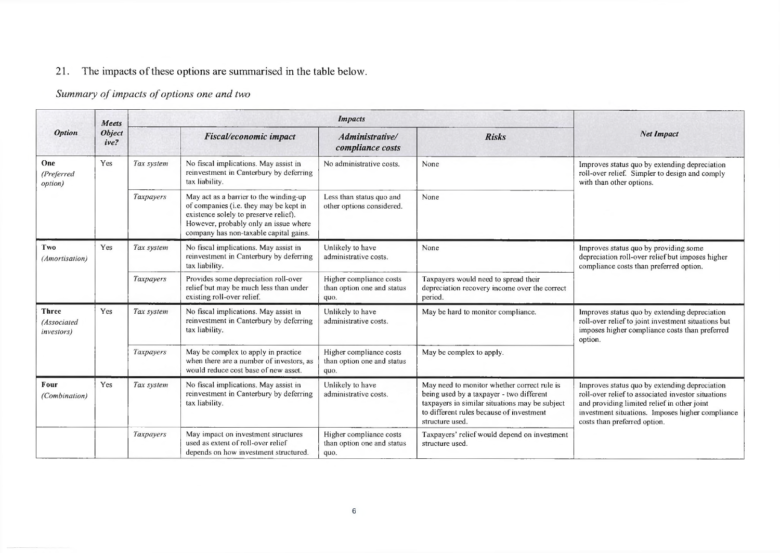# 21. The impacts of these options are summarised in the table below.

# Summary of impacts of options one and two

|                                                   | Meets<br><b>Object</b><br>ive? | <i>Impacts</i>         |                                                                                                                                                                                                              |                                                               |                                                                                                                                                                                                          |                                                                                                                                                                                                                                        |
|---------------------------------------------------|--------------------------------|------------------------|--------------------------------------------------------------------------------------------------------------------------------------------------------------------------------------------------------------|---------------------------------------------------------------|----------------------------------------------------------------------------------------------------------------------------------------------------------------------------------------------------------|----------------------------------------------------------------------------------------------------------------------------------------------------------------------------------------------------------------------------------------|
| <b>Option</b>                                     |                                | Fiscal/economic impact |                                                                                                                                                                                                              | Administrative/<br>compliance costs                           | <b>Risks</b>                                                                                                                                                                                             | <b>Net Impact</b>                                                                                                                                                                                                                      |
| One<br>(Preferred<br>option)                      | Yes                            | Tax system             | No fiscal implications. May assist in<br>reinvestment in Canterbury by deferring<br>tax liability.                                                                                                           | No administrative costs.                                      | None                                                                                                                                                                                                     | Improves status quo by extending depreciation<br>roll-over relief. Simpler to design and comply<br>with than other options.                                                                                                            |
|                                                   |                                | Taxpayers              | May act as a barrier to the winding-up<br>of companies (i.e. they may be kept in<br>existence solely to preserve relief).<br>However, probably only an issue where<br>company has non-taxable capital gains. | Less than status quo and<br>other options considered.         | None                                                                                                                                                                                                     |                                                                                                                                                                                                                                        |
| Two<br>(Amortisation)                             | Yes                            | Tax system             | No fiscal implications. May assist in<br>reinvestment in Canterbury by deferring<br>tax liability.                                                                                                           | Unlikely to have<br>administrative costs.                     | None                                                                                                                                                                                                     | Improves status quo by providing some<br>depreciation roll-over relief but imposes higher<br>compliance costs than preferred option.                                                                                                   |
|                                                   |                                | Taxpayers              | Provides some depreciation roll-over<br>relief but may be much less than under<br>existing roll-over relief.                                                                                                 | Higher compliance costs<br>than option one and status<br>quo. | Taxpayers would need to spread their<br>depreciation recovery income over the correct<br>period.                                                                                                         |                                                                                                                                                                                                                                        |
| <b>Three</b><br>(Associated<br><i>investors</i> ) | Yes                            | Tax system             | No fiscal implications. May assist in<br>reinvestment in Canterbury by deferring<br>tax liability.                                                                                                           | Unlikely to have<br>administrative costs.                     | May be hard to monitor compliance.                                                                                                                                                                       | Improves status quo by extending depreciation<br>roll-over relief to joint investment situations but<br>imposes higher compliance costs than preferred<br>option.                                                                      |
|                                                   |                                | Taxpayers              | May be complex to apply in practice<br>when there are a number of investors, as<br>would reduce cost base of new asset.                                                                                      | Higher compliance costs<br>than option one and status<br>quo. | May be complex to apply.                                                                                                                                                                                 |                                                                                                                                                                                                                                        |
| Four<br>(Combination)                             | Yes                            | Tax system             | No fiscal implications. May assist in<br>reinvestment in Canterbury by deferring<br>tax liability.                                                                                                           | Unlikely to have<br>administrative costs.                     | May need to monitor whether correct rule is<br>being used by a taxpayer - two different<br>taxpayers in similar situations may be subject<br>to different rules because of investment<br>structure used. | Improves status quo by extending depreciation<br>roll-over relief to associated investor situations<br>and providing limited relief in other joint<br>investment situations. Imposes higher compliance<br>costs than preferred option. |
|                                                   |                                | Taxpayers              | May impact on investment structures<br>used as extent of roll-over relief<br>depends on how investment structured.                                                                                           | Higher compliance costs<br>than option one and status<br>quo. | Taxpayers' relief would depend on investment<br>structure used.                                                                                                                                          |                                                                                                                                                                                                                                        |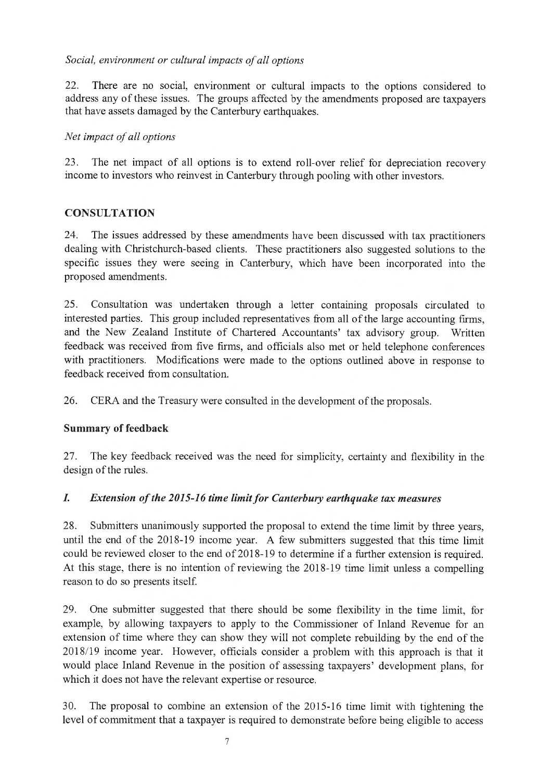### Social, environment or cultural impacts of all options

22. There are no social, environment or cultural impacts to the options considered to address any of these issues. The groups affected by the amendments proposed are taxpayers that have assets damaged by the Canterbury earthquakes.

### *Net impact of all options*

23. The net impact of all options is to extend roll-over relief for depreciation recovery income to investors who reinvest in Canterbury through pooling with other investors.

### **CONSULTATION**

24. The issues addressed by these amendments have been discussed with tax practitioners dealing with Christchurch-based clients. These practitioners also suggested solutions to the specific issues they were seeing in Canterbury, which have been incorporated into the proposed amendments.

25. Consultation was undertaken through a letter containing proposals circulated to interested parties. This group included representatives from all of the large accounting firms, and the New Zealand Institute of Chartered Accountants' tax advisory group. Written feedback was received from five firms, and officials also met or held telephone conferences with practitioners. Modifications were made to the options outlined above in response to feedback received from consultation.

26. CERA and the Treasury were consulted in the development of the proposals.

### **Summary of feedback**

27. The key feedback received was the need for simplicity, certainty and flexibility in the design of the rules.

### *I.* Extension of the 2015-16 time limit for Canterbury earthquake tax measures

28. Submitters unanimously supported the proposal to extend the time limit by three years, until the end of the 2018-19 income year. A few submitters suggested that this time limit could be reviewed closer to the end of 2018-19 to determine if a further extension is required. At this stage, there is no intention of reviewing the 2018-19 time limit unless a compelling reason to do so presents itself.

29. One submitter suggested that there should be some flexibility in the time limit, for example, by allowing taxpayers to apply to the Commissioner of Inland Revenue for an extension of time where they can show they will not complete rebuilding by the end of the 2018/19 income year. However, officials consider a problem with this approach is that it would place Inland Revenue in the position of assessing taxpayers' development plans, for which it does not have the relevant expertise or resource.

30. The proposal to combine an extension of the 2015-16 time limit with tightening the level of commitment that a taxpayer is required to demonstrate before being eligible to access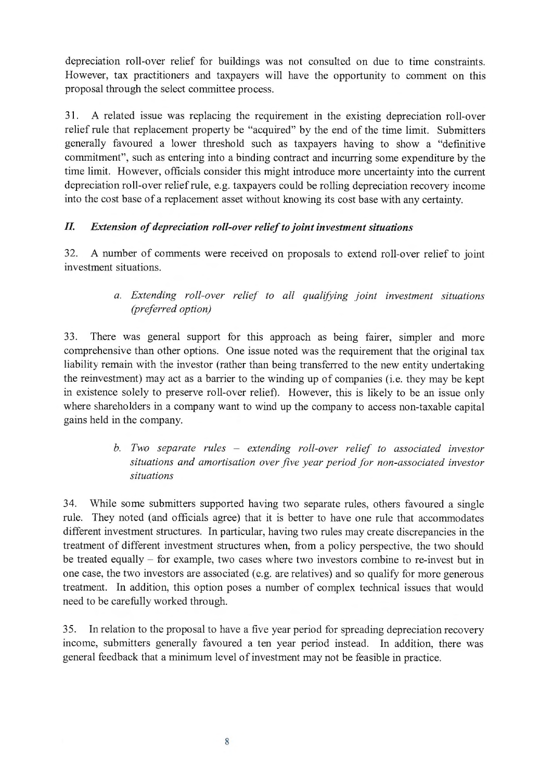depreciation roll-over relief for buildings was not consulted on due to time constraints. However, tax practitioners and taxpayers will have the opportunity to comment on this proposal through the select committee process.

31. A related issue was replacing the requirement in the existing depreciation roll-over relief rule that replacement property be "acquired" by the end of the time limit. Submitters generally favoured a lower threshold such as taxpayers having to show a "definitive commitment", such as entering into a binding contract and incurring some expenditure by the time limit. However, officials consider this might introduce more uncertainty into the current depreciation roll-over relief rule, e.g. taxpayers could be rolling depreciation recovery income into the cost base of a replacement asset without knowing its cost base with any certainty.

### *II.* Extension of depreciation roll-over relief to joint investment situations

32. A number of comments were received on proposals to extend roll-over relief to joint investment situations.

> *a. Extending roll-over relief to all qualifying joint investment situations (preferred option)*

33. There was general support for this approach as being fairer, simpler and more comprehensive than other options. One issue noted was the requirement that the original tax liability remain with the investor (rather than being transferred to the new entity undertaking the reinvestment) may act as a barrier to the winding up of companies (i.e. they may be kept in existence solely to preserve roll-over relief). However, this is likely to be an issue only where shareholders in a company want to wind up the company to access non-taxable capital gains held in the company.

## *b. Two separate rules - extending roll-over relief to associated investor* situations and amortisation over five year period for non-associated investor *situations*

34. While some submitters supported having two separate rules, others favoured a single rule. They noted (and officials agree) that it is better to have one rule that accommodates different investment structures. In particular, having two rules may create discrepancies in the treatment of different investment structures when, from a policy perspective, the two should be treated equally - for example, two cases where two investors combine to re-invest but in one case, the two investors are associated (e.g. are relatives) and so qualify for more generous treatment. In addition, this option poses a number of complex technical issues that would need to be carefully worked through.

35. In relation to the proposal to have a five year period for spreading depreciation recovery income, submitters generally favoured a ten year period instead. In addition, there was general feedback that a minimum level of investment may not be feasible in practice.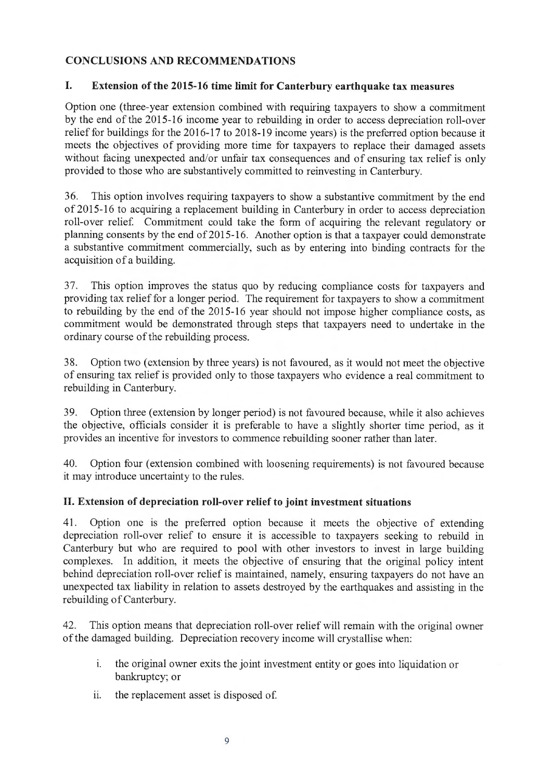### **CONCLUSIONS AND RECOMMENDATIONS**

### **I. Extension of the 2015-16 time limit for Canterbury earthquake tax measures**

Option one (three-year extension combined with requiring taxpayers to show a commitment by the end of the 2015-16 income year to rebuilding in order to access depreciation roll-over relief for buildings for the 2016-17 to 2018-19 income years) is the preferred option because it meets the objectives of providing more time for taxpayers to replace their damaged assets without facing unexpected and/or unfair tax consequences and of ensuring tax relief is only provided to those who are substantively committed to reinvesting in Canterbury.

36. This option involves requiring taxpayers to show a substantive commitment by the end of 2015-16 to acquiring a replacement building in Canterbury in order to access depreciation roll-over relief. Commitment could take the form of acquiring the relevant regulatory or planning consents by the end of 2015-16. Another option is that a taxpayer could demonstrate a substantive commitment commercially, such as by entering into binding contracts for the acquisition of a building.

37. This option improves the status quo by reducing compliance costs for taxpayers and providing tax relief for a longer period. The requirement for taxpayers to show a commitment to rebuilding by the end of the 2015-16 year should not impose higher compliance costs, as commitment would be demonstrated through steps that taxpayers need to undertake in the ordinary course of the rebuilding process.

38. Option two (extension by three years) is not favoured, as it would not meet the objective of ensuring tax relief is provided only to those taxpayers who evidence a real commitment to rebuilding in Canterbury.

39. Option three (extension by longer period) is not favoured because, while it also achieves the objective, officials consider it is preferable to have a slightly shorter time period, as it provides an incentive for investors to commence rebuilding sooner rather than later.

40. Option four (extension combined with loosening requirements) is not favoured because it may introduce uncertainty to the rules.

### **II. Extension of depreciation roll-over relief to joint investment situations**

41. Option one is the preferred option because it meets the objective of extending depreciation roll-over relief to ensure it is accessible to taxpayers seeking to rebuild in Canterbury but who are required to pool with other investors to invest in large building complexes. In addition, it meets the objective of ensuring that the original policy intent behind depreciation roll-over relief is maintained, namely, ensuring taxpayers do not have an unexpected tax liability in relation to assets destroyed by the earthquakes and assisting in the rebuilding of Canterbury.

42. This option means that depreciation roll-over relief will remain with the original owner of the damaged building. Depreciation recovery income will crystallise when:

- i. the original owner exits the joint investment entity or goes into liquidation or bankruptcy; or
- ii. the replacement asset is disposed of.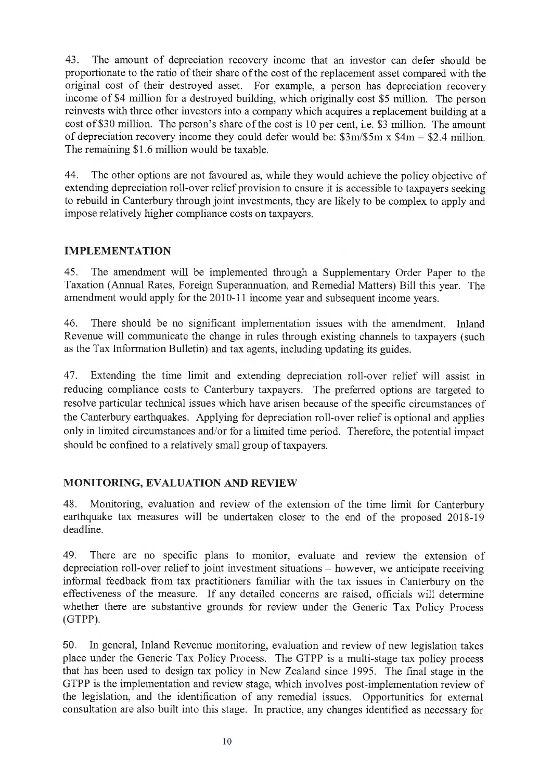43. The amount of depreciation recovery income that an investor can defer should be proportionate to the ratio of their share of the cost of the replacement asset compared with the original cost of their destroyed asset. For example, a person has depreciation recovery income of \$4 million for a destroyed building, which originally cost \$5 million. The person reinvests with three other investors into a company which acquires a replacement building at a cost of \$30 million. The person's share of the cost is 10 per cent, i.e. \$3 million. The amount of depreciation recovery income they could defer would be:  $\frac{2m}{5m} \times \frac{4m}{5m} = \frac{2.4 \text{ million}}{2}$ . The remaining \$1.6 million would be taxable.

44. The other options are not favoured as, while they would achieve the policy objective of extending depreciation roll-over relief provision to ensure it is accessible to taxpayers seeking to rebuild in Canterbury through joint investments, they are likely to be complex to apply and impose relatively higher compliance costs on taxpayers.

### **IMPLEMENTATION**

45. The amendment will be implemented through a Supplementary Order Paper to the Taxation (Annual Rates, Foreign Superannuation, and Remedial Matters) Bill this year. The amendment would apply for the 2010-11 income year and subsequent income years.

46. There should be no significant implementation issues with the amendment. Inland Revenue will communicate the change in rules through existing channels to taxpayers (such as the Tax Information Bulletin) and tax agents, including updating its guides.

47. Extending the time limit and extending depreciation roll-over relief will assist in reducing compliance costs to Canterbury taxpayers. The preferred options are targeted to resolve particular technical issues which have arisen because of the specific circumstances of the Canterbury earthquakes. Applying for depreciation roll-over relief is optional and applies only in limited circumstances and/or for a limited time period. Therefore, the potential impact should be confined to a relatively small group of taxpayers.

### **MONITORING, EVALUATION AND REVIEW**

48. Monitoring, evaluation and review of the extension of the time limit for Canterbury earthquake tax measures will be undertaken closer to the end of the proposed 2018-19 deadline.

49. There are no specific plans to monitor, evaluate and review the extension of depreciation roll-over relief to joint investment situations – however, we anticipate receiving informal feedback from tax practitioners familiar with the tax issues in Canterbury on the effectiveness of the measure. If any detailed concerns are raised, officials will determine whether there are substantive grounds for review under the Generic Tax Policy Process (GTPP).

50. In general, Inland Revenue monitoring, evaluation and review of new legislation takes place under the Generic Tax Policy Process. The GTPP is a multi-stage tax policy process that has been used to design tax policy in New Zealand since 1995. The final stage in the GTPP is the implementation and review stage, which involves post-implementation review of the legislation, and the identification of any remedial issues. Opportunities for external consultation are also built into this stage. In practice, any changes identified as necessary for